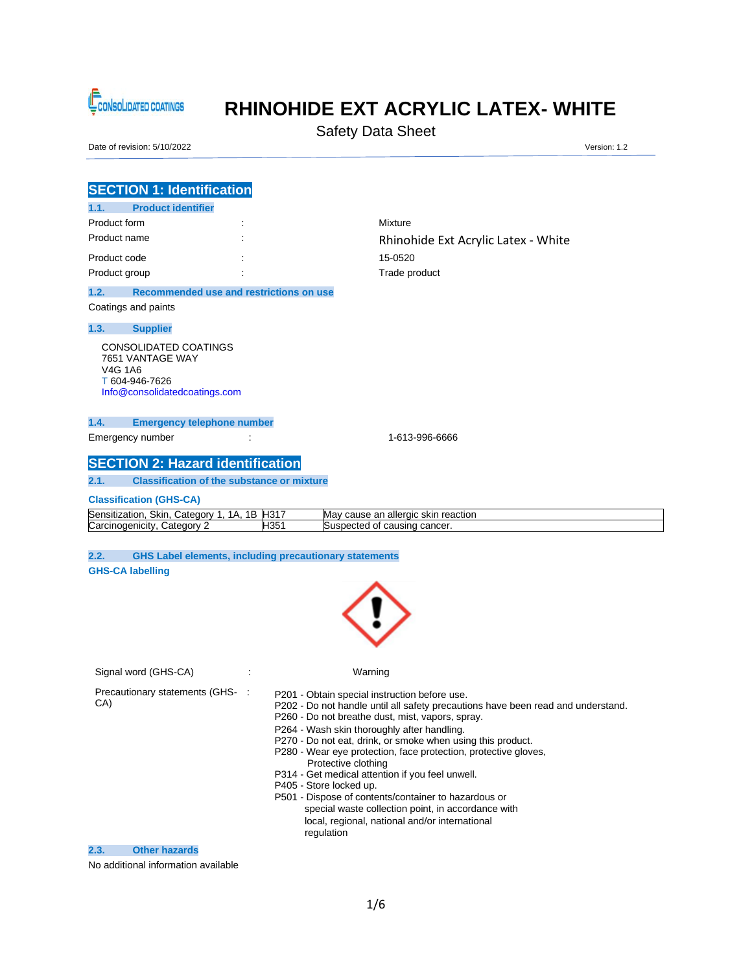

# **CONSOLIDATED COATINGS** RHINOHIDE EXT ACRYLIC LATEX-WHITE

Safety Data Sheet

Date of revision: 5/10/2022 Version: 1.2

| <b>SECTION 1: Identification</b>                                                                              |                                     |
|---------------------------------------------------------------------------------------------------------------|-------------------------------------|
| <b>Product identifier</b><br>1.1.                                                                             |                                     |
| Product form                                                                                                  | Mixture                             |
| Product name                                                                                                  | Rhinohide Ext Acrylic Latex - White |
| Product code                                                                                                  | 15-0520                             |
| Product group                                                                                                 | Trade product                       |
| Recommended use and restrictions on use<br>1.2.                                                               |                                     |
| Coatings and paints                                                                                           |                                     |
| 1.3.<br><b>Supplier</b>                                                                                       |                                     |
| <b>CONSOLIDATED COATINGS</b><br>7651 VANTAGE WAY<br>V4G 1A6<br>T604-946-7626<br>Info@consolidatedcoatings.com |                                     |
| <b>Emergency telephone number</b><br>1.4.                                                                     |                                     |
| Emergency number                                                                                              | 1-613-996-6666                      |
| <b>SECTION 2: Hazard identification</b>                                                                       |                                     |
| <b>Classification of the substance or mixture</b><br>2.1.                                                     |                                     |
| <b>Classification (GHS-CA)</b>                                                                                |                                     |
| Sensitization, Skin, Category 1, 1A, 1B H317                                                                  | May cause an allergic skin reaction |
| Carcinogenicity, Category 2<br>H351                                                                           | Suspected of causing cancer.        |
|                                                                                                               |                                     |
| 2.2.<br><b>GHS Label elements, including precautionary statements</b>                                         |                                     |

**GHS-CA labelling**



| Warning                                                                                                                                                                                                                                                                                                                                                                |
|------------------------------------------------------------------------------------------------------------------------------------------------------------------------------------------------------------------------------------------------------------------------------------------------------------------------------------------------------------------------|
| P201 - Obtain special instruction before use.<br>P202 - Do not handle until all safety precautions have been read and understand.<br>P260 - Do not breathe dust, mist, vapors, spray.<br>P264 - Wash skin thoroughly after handling.<br>P270 - Do not eat, drink, or smoke when using this product.<br>P280 - Wear eye protection, face protection, protective gloves, |
| Protective clothing<br>P314 - Get medical attention if you feel unwell.<br>P405 - Store locked up.<br>P501 - Dispose of contents/container to hazardous or<br>special waste collection point, in accordance with<br>local, regional, national and/or international<br>regulation                                                                                       |
| Precautionary statements (GHS-:                                                                                                                                                                                                                                                                                                                                        |

**2.3. Other hazards**

No additional information available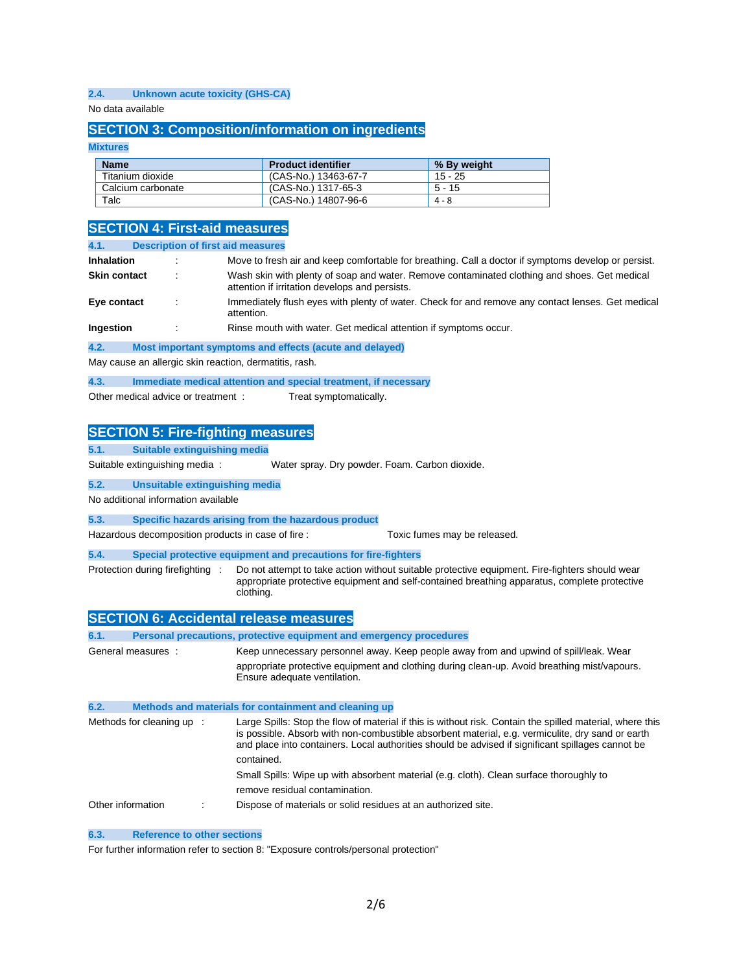## **2.4. Unknown acute toxicity (GHS-CA)**

No data available

## **SECTION 3: Composition/information on ingredients**

**Mixtures**

| <b>Name</b>       | <b>Product identifier</b> | % By weight |
|-------------------|---------------------------|-------------|
| Titanium dioxide  | (CAS-No.) 13463-67-7      | 15 - 25     |
| Calcium carbonate | (CAS-No.) 1317-65-3       | 5 - 15      |
| Talc              | (CAS-No.) 14807-96-6      | 4 - 8       |

# **SECTION 4: First-aid measures**

| 4.1.                |  | <b>Description of first aid measures</b>                                                                                                       |
|---------------------|--|------------------------------------------------------------------------------------------------------------------------------------------------|
| <b>Inhalation</b>   |  | Move to fresh air and keep comfortable for breathing. Call a doctor if symptoms develop or persist.                                            |
| <b>Skin contact</b> |  | Wash skin with plenty of soap and water. Remove contaminated clothing and shoes. Get medical<br>attention if irritation develops and persists. |
| Eye contact         |  | Immediately flush eyes with plenty of water. Check for and remove any contact lenses. Get medical<br>attention.                                |
| Ingestion           |  | Rinse mouth with water. Get medical attention if symptoms occur.                                                                               |
| 4.2.                |  | Most important symptoms and effects (acute and delayed)                                                                                        |
|                     |  | May cause an allergic skin reaction, dermatitis, rash.                                                                                         |
|                     |  |                                                                                                                                                |

| 4.3. |                                    |  |  |                        | Immediate medical attention and special treatment, if necessary |
|------|------------------------------------|--|--|------------------------|-----------------------------------------------------------------|
|      | Other medical advice or treatment: |  |  | Treat symptomatically. |                                                                 |

## **SECTION 5: Fire-fighting measures**

| 5.1.<br>Suitable extinguishing media |  |
|--------------------------------------|--|
|--------------------------------------|--|

Suitable extinguishing media : Water spray. Dry powder. Foam. Carbon dioxide.

## **5.2. Unsuitable extinguishing media**

No additional information available

**5.3. Specific hazards arising from the hazardous product**

Hazardous decomposition products in case of fire : Toxic fumes may be released.

### **5.4. Special protective equipment and precautions for fire-fighters**

Protection during firefighting : Do not attempt to take action without suitable protective equipment. Fire-fighters should wear appropriate protective equipment and self-contained breathing apparatus, complete protective clothing.

|                   |                           | <b>SECTION 6: Accidental release measures</b>                                                                                                                                                                                                                                                                                    |
|-------------------|---------------------------|----------------------------------------------------------------------------------------------------------------------------------------------------------------------------------------------------------------------------------------------------------------------------------------------------------------------------------|
| 6.1.              |                           | Personal precautions, protective equipment and emergency procedures                                                                                                                                                                                                                                                              |
|                   | General measures :        | Keep unnecessary personnel away. Keep people away from and upwind of spill/leak. Wear                                                                                                                                                                                                                                            |
|                   |                           | appropriate protective equipment and clothing during clean-up. Avoid breathing mist/vapours.<br>Ensure adequate ventilation.                                                                                                                                                                                                     |
| 6.2.              |                           | Methods and materials for containment and cleaning up                                                                                                                                                                                                                                                                            |
|                   | Methods for cleaning up : | Large Spills: Stop the flow of material if this is without risk. Contain the spilled material, where this<br>is possible. Absorb with non-combustible absorbent material, e.g. vermiculite, dry sand or earth<br>and place into containers. Local authorities should be advised if significant spillages cannot be<br>contained. |
|                   |                           | Small Spills: Wipe up with absorbent material (e.g. cloth). Clean surface thoroughly to<br>remove residual contamination.                                                                                                                                                                                                        |
| Other information |                           | Dispose of materials or solid residues at an authorized site.                                                                                                                                                                                                                                                                    |
|                   |                           |                                                                                                                                                                                                                                                                                                                                  |

#### **6.3. Reference to other sections**

For further information refer to section 8: "Exposure controls/personal protection"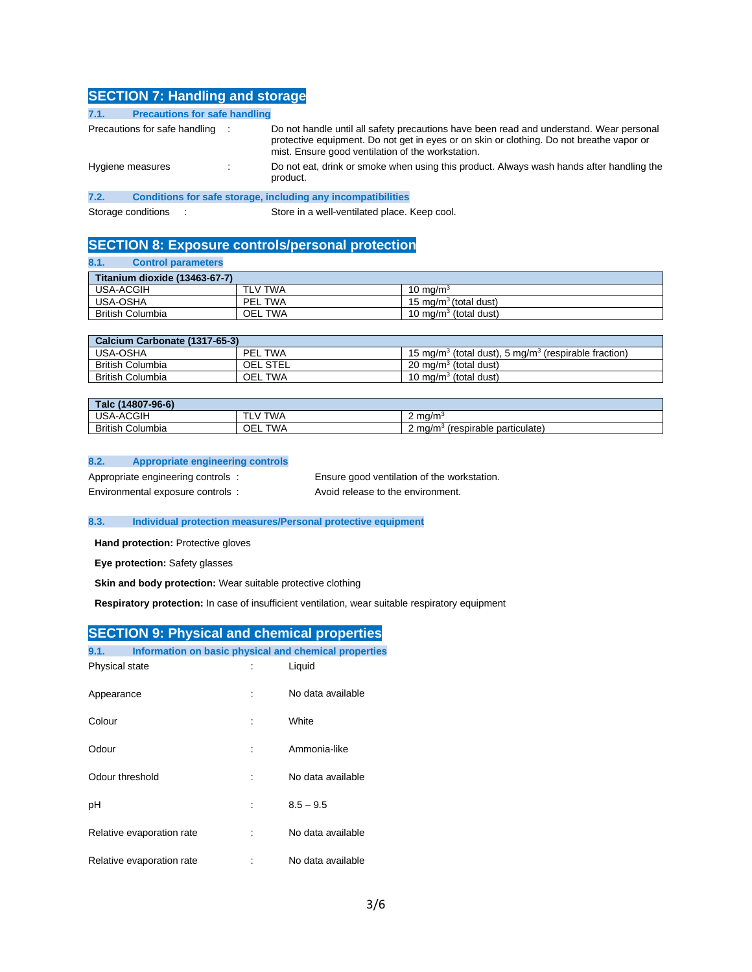# **SECTION 7: Handling and storage**

| 7.1. | <b>Precautions for safe handling</b> |   |                                                                                                                                                                                                                                          |
|------|--------------------------------------|---|------------------------------------------------------------------------------------------------------------------------------------------------------------------------------------------------------------------------------------------|
|      | Precautions for safe handling        |   | Do not handle until all safety precautions have been read and understand. Wear personal<br>protective equipment. Do not get in eyes or on skin or clothing. Do not breathe vapor or<br>mist. Ensure good ventilation of the workstation. |
|      | Hygiene measures                     | ٠ | Do not eat, drink or smoke when using this product. Always wash hands after handling the<br>product.                                                                                                                                     |
| 7.2. |                                      |   | Conditions for safe storage, including any incompatibilities                                                                                                                                                                             |

Storage conditions : Store in a well-ventilated place. Keep cool.

## **SECTION 8: Exposure controls/personal protection**

| 8.1.<br><b>Control parameters</b> |                |                                   |
|-----------------------------------|----------------|-----------------------------------|
| Titanium dioxide (13463-67-7)     |                |                                   |
| USA-ACGIH                         | <b>TLV TWA</b> | 10 mg/m $3$                       |
| USA-OSHA                          | PEL TWA        | 15 mg/m <sup>3</sup> (total dust) |
| <b>British Columbia</b>           | OEL TWA        | 10 mg/m $3$ (total dust)          |

| Calcium Carbonate (1317-65-3) |                 |                                                                              |
|-------------------------------|-----------------|------------------------------------------------------------------------------|
| USA OSHA                      | <b>PEL TWA</b>  | 15 mg/m <sup>3</sup> (total dust), 5 mg/m <sup>3</sup> (respirable fraction) |
| <b>British Columbia</b>       | <b>OEL STEL</b> | 20 mg/m <sup>3</sup> (total dust)                                            |
| <b>British Columbia</b>       | <b>OEL TWA</b>  | 10 mg/m <sup>3</sup> (total dust)                                            |

| $(14807 - 96 - 6)$<br><b>Talc</b> |                       |                                                        |
|-----------------------------------|-----------------------|--------------------------------------------------------|
| USA-ACGIH                         | <b>TWA</b><br>л.<br>- | $2 \text{ mg/m}^3$                                     |
| <b>British C</b><br>Columbia      | <b>TWA</b><br>OEL     | (respirable particulate)<br>ma/r<br>$\sim$<br><u>_</u> |

## **8.2. Appropriate engineering controls**

Appropriate engineering controls : Ensure good ventilation of the workstation. Environmental exposure controls : Avoid release to the environment.

## **8.3. Individual protection measures/Personal protective equipment**

**Hand protection:** Protective gloves

**Eye protection:** Safety glasses

**Skin and body protection:** Wear suitable protective clothing

**Respiratory protection:** In case of insufficient ventilation, wear suitable respiratory equipment

|                 | .                         |  | ----------                                            |
|-----------------|---------------------------|--|-------------------------------------------------------|
| 9.1.            |                           |  | Information on basic physical and chemical properties |
| Physical state  |                           |  | Liquid                                                |
| Appearance      |                           |  | No data available                                     |
| Colour          |                           |  | White                                                 |
| Odour           |                           |  | Ammonia-like                                          |
| Odour threshold |                           |  | No data available                                     |
| рH              |                           |  | $8.5 - 9.5$                                           |
|                 | Relative evaporation rate |  | No data available                                     |
|                 | Relative evaporation rate |  | No data available                                     |

# **SECTION 9: Physical and chemical properties**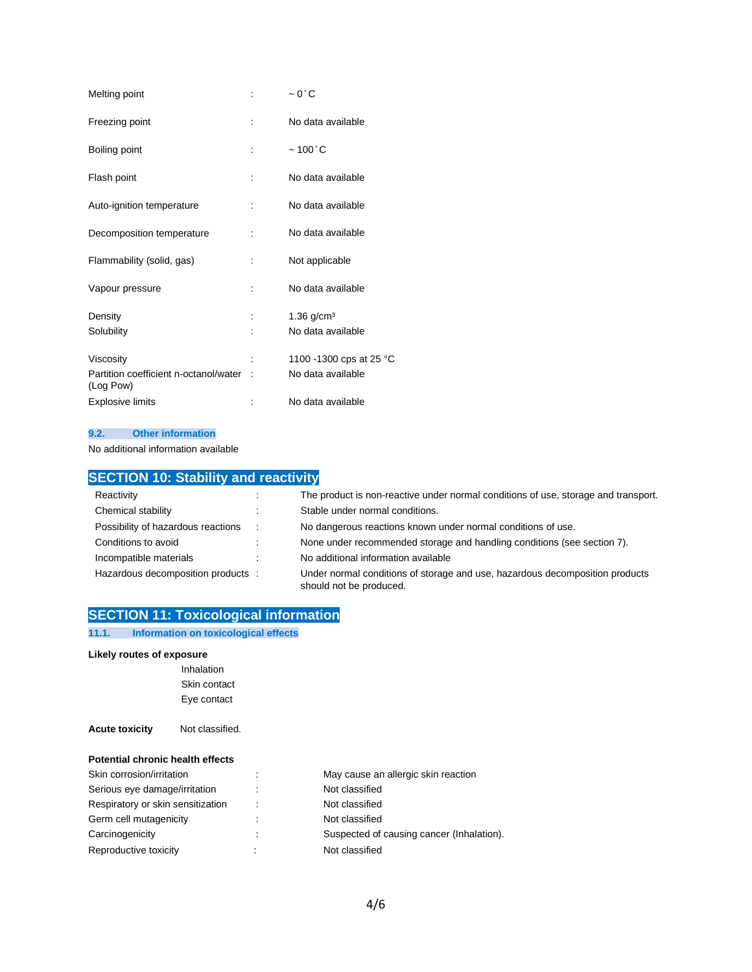| Melting point                                                   |   | $\sim 0^{\circ}$ C                           |
|-----------------------------------------------------------------|---|----------------------------------------------|
| Freezing point                                                  | t | No data available                            |
| Boiling point                                                   |   | $~100^{\circ}$ C                             |
| Flash point                                                     |   | No data available                            |
| Auto-ignition temperature                                       |   | No data available                            |
| Decomposition temperature                                       |   | No data available                            |
| Flammability (solid, gas)                                       |   | Not applicable                               |
| Vapour pressure                                                 |   | No data available                            |
| Density<br>Solubility                                           |   | 1.36 $q/cm3$<br>No data available            |
| Viscosity<br>Partition coefficient n-octanol/water<br>(Log Pow) |   | 1100 -1300 cps at 25 °C<br>No data available |
| <b>Explosive limits</b>                                         |   | No data available                            |

## **9.2. Other information**

No additional information available

# **SECTION 10: Stability and reactivity**

| Reactivity                         | ÷      | The product is non-reactive under normal conditions of use, storage and transport.                      |
|------------------------------------|--------|---------------------------------------------------------------------------------------------------------|
| Chemical stability                 | ÷      | Stable under normal conditions.                                                                         |
| Possibility of hazardous reactions | $\sim$ | No dangerous reactions known under normal conditions of use.                                            |
| Conditions to avoid                | ÷      | None under recommended storage and handling conditions (see section 7).                                 |
| Incompatible materials             |        | No additional information available                                                                     |
| Hazardous decomposition products : |        | Under normal conditions of storage and use, hazardous decomposition products<br>should not be produced. |

# **SECTION 11: Toxicological information**

**11.1. Information on toxicological effects**

## **Likely routes of exposure**

 Inhalation Skin contact Eye contact

Acute toxicity **Not classified.** 

| <b>Potential chronic health effects</b> |  |  |
|-----------------------------------------|--|--|
| Cliffe, a grand alone Confidentia or    |  |  |

| Skin corrosion/irritation         | ٠<br>۰. | May cause an allergic skin reaction       |
|-----------------------------------|---------|-------------------------------------------|
| Serious eye damage/irritation     | ÷       | Not classified                            |
| Respiratory or skin sensitization | ÷       | Not classified                            |
| Germ cell mutagenicity            | ÷       | Not classified                            |
| Carcinogenicity                   | ÷       | Suspected of causing cancer (Inhalation). |
| Reproductive toxicity             | ٠       | Not classified                            |
|                                   |         |                                           |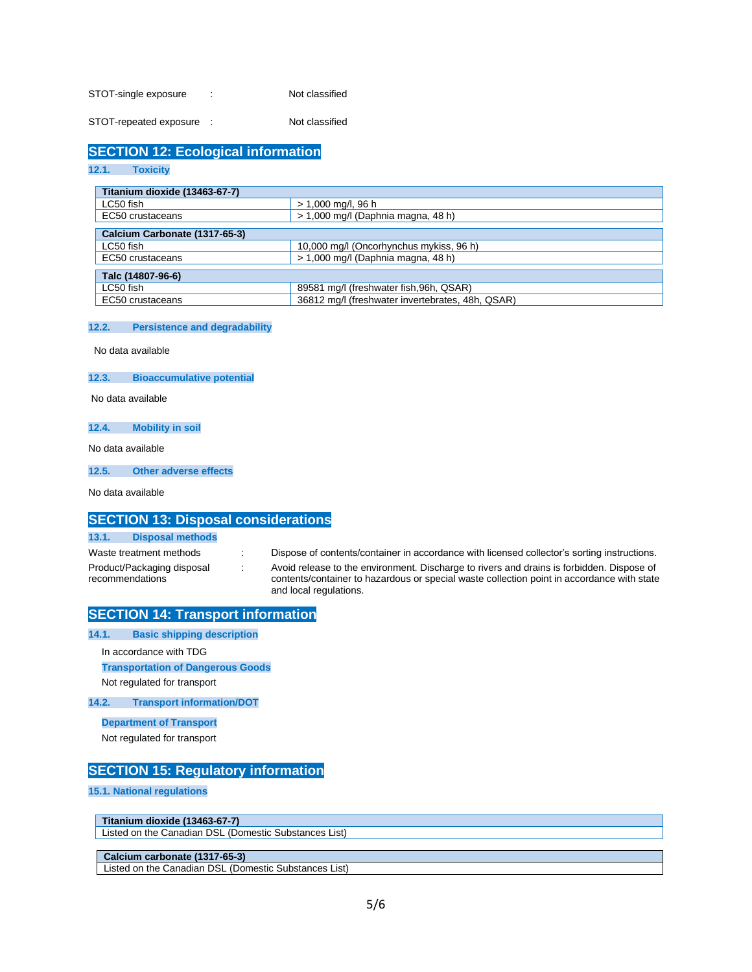STOT-single exposure : Not classified

STOT-repeated exposure : Not classified

## **SECTION 12: Ecological information**

**12.1. Toxicity**

| Titanium dioxide (13463-67-7) |                                                  |  |
|-------------------------------|--------------------------------------------------|--|
| LC50 fish                     | > 1,000 mg/l, 96 h                               |  |
| EC50 crustaceans              | $> 1,000$ mg/l (Daphnia magna, 48 h)             |  |
| Calcium Carbonate (1317-65-3) |                                                  |  |
| LC50 fish                     | 10,000 mg/l (Oncorhynchus mykiss, 96 h)          |  |
| EC50 crustaceans              | $> 1,000$ mg/l (Daphnia magna, 48 h)             |  |
| Talc (14807-96-6)             |                                                  |  |
| LC50 fish                     | 89581 mg/l (freshwater fish, 96h, QSAR)          |  |
| EC50 crustaceans              | 36812 mg/l (freshwater invertebrates, 48h, QSAR) |  |

#### **12.2. Persistence and degradability**

No data available

## **12.3. Bioaccumulative potential**

No data available

**12.4. Mobility in soil**

No data available

**12.5. Other adverse effects**

No data available

## **SECTION 13: Disposal considerations**

#### **13.1. Disposal methods**

- 
- Product/Packaging disposal recommendations
- Waste treatment methods : Dispose of contents/container in accordance with licensed collector's sorting instructions.

: Avoid release to the environment. Discharge to rivers and drains is forbidden. Dispose of contents/container to hazardous or special waste collection point in accordance with state and local regulations.

## **SECTION 14: Transport information**

**14.1. Basic shipping description**

In accordance with TDG

**Transportation of Dangerous Goods**

Not regulated for transport

**14.2. Transport information/DOT**

**Department of Transport**  Not regulated for transport

## **SECTION 15: Regulatory information**

#### **15.1. National regulations**

**Titanium dioxide (13463-67-7)**

Listed on the Canadian DSL (Domestic Substances List)

## **Calcium carbonate (1317-65-3)**

Listed on the Canadian DSL (Domestic Substances List)